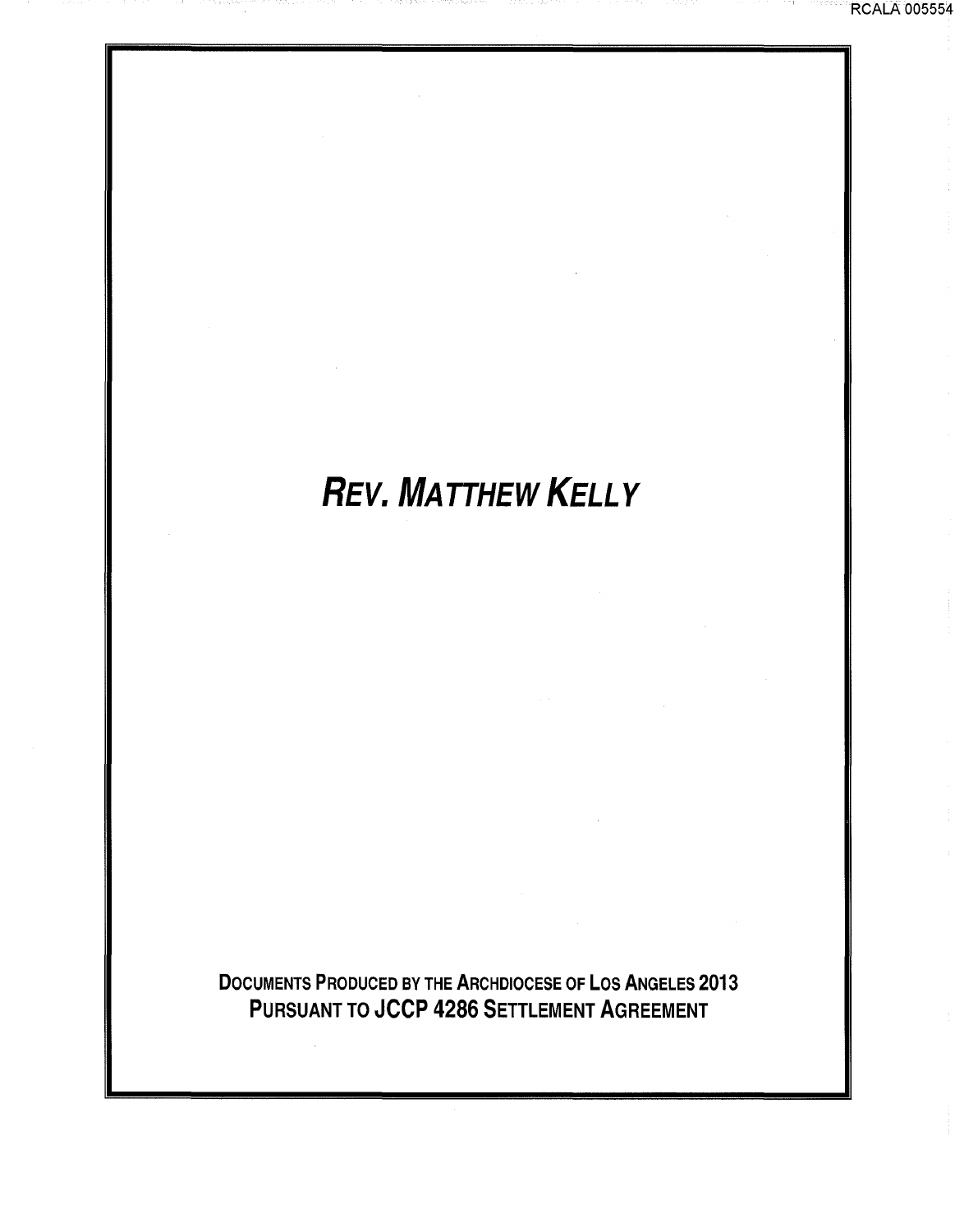# *REV. MATTHEW KELLY*

DOCUMENTS PRODUCED BY THE ARCHDIOCESE OF LOS ANGELES 2013 PURSUANT TO JCCP 4286 SETTLEMENT AGREEMENT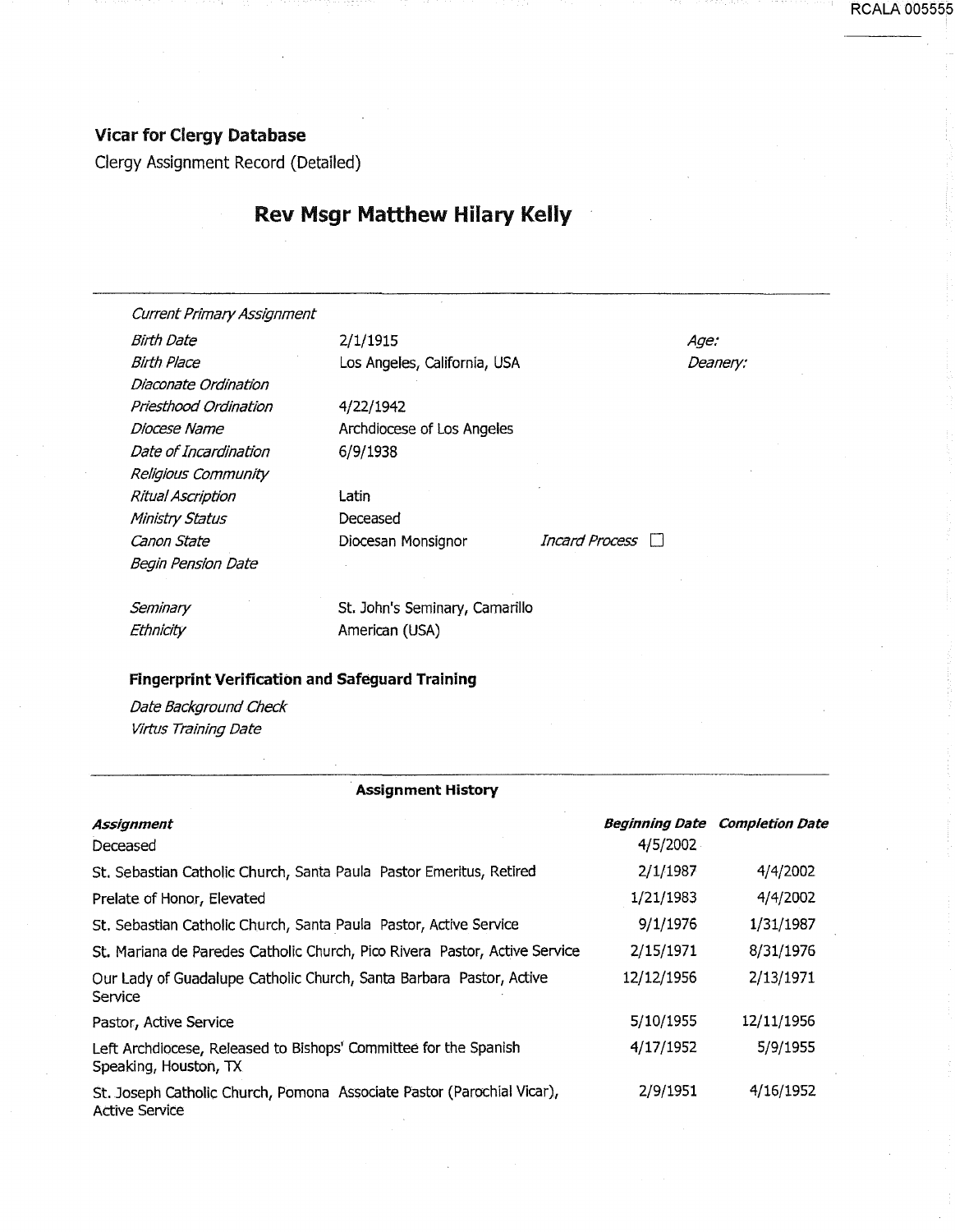## Vicar for Clergy Database

Clergy Assignment Record (Detailed)

# Rev Msgr Matthew Hilary Kelly

Current Primary Assignment

Birth Date 2/1/1915 Diaconate Ordination Priesthood Ordination Diocese Name Date of Incardination Religious Community Ritual Ascription Ministry Status Canon State **Diocesan Monsignor** *Incard Process*  $\Box$ Begin Pension Date

Birth Place Los Angeles, California, USA

4/22/1942 Archdiocese of Los Angeles 6/9/1938

Latin Deceased

Age: Deanery: RCALA 005555

**Seminary Ethnicity** 

St. John's Seminary, Camarillo American (USA)

#### Fingerprint Verification and Safeguard Training

Date Background Check Virtus Training Date

#### **Assignment History**

| Assignment                                                                                      |            | <b>Beginning Date Completion Date</b> |
|-------------------------------------------------------------------------------------------------|------------|---------------------------------------|
| Deceased                                                                                        | 4/5/2002   |                                       |
| St. Sebastian Catholic Church, Santa Paula Pastor Emeritus, Retired                             | 2/1/1987   | 4/4/2002                              |
| Prelate of Honor, Elevated                                                                      | 1/21/1983  | 4/4/2002                              |
| St. Sebastian Catholic Church, Santa Paula Pastor, Active Service                               | 9/1/1976   | 1/31/1987                             |
| St. Mariana de Paredes Catholic Church, Pico Rivera Pastor, Active Service                      | 2/15/1971  | 8/31/1976                             |
| Our Lady of Guadalupe Catholic Church, Santa Barbara Pastor, Active<br>Service                  | 12/12/1956 | 2/13/1971                             |
| Pastor, Active Service                                                                          | 5/10/1955  | 12/11/1956                            |
| Left Archdiocese, Released to Bishops' Committee for the Spanish<br>Speaking, Houston, TX       | 4/17/1952  | 5/9/1955                              |
| St. Joseph Catholic Church, Pomona Associate Pastor (Parochial Vicar),<br><b>Active Service</b> | 2/9/1951   | 4/16/1952                             |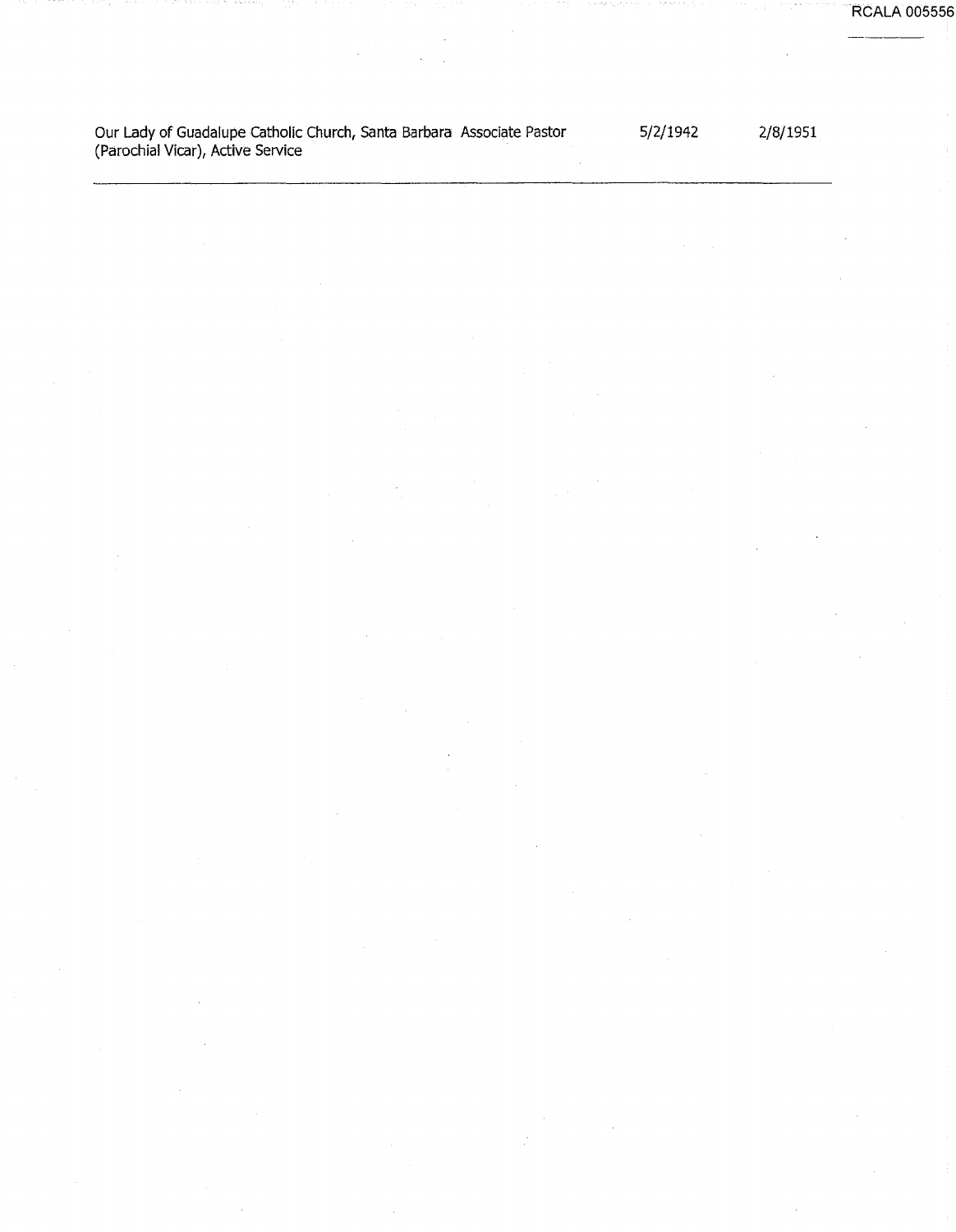RCALA 005556

Our Lady of Guadalupe Catholic Church, Santa Barbara Associate Pastor (Parochial Vicar), Active Service

5/2/1942

2/8/1951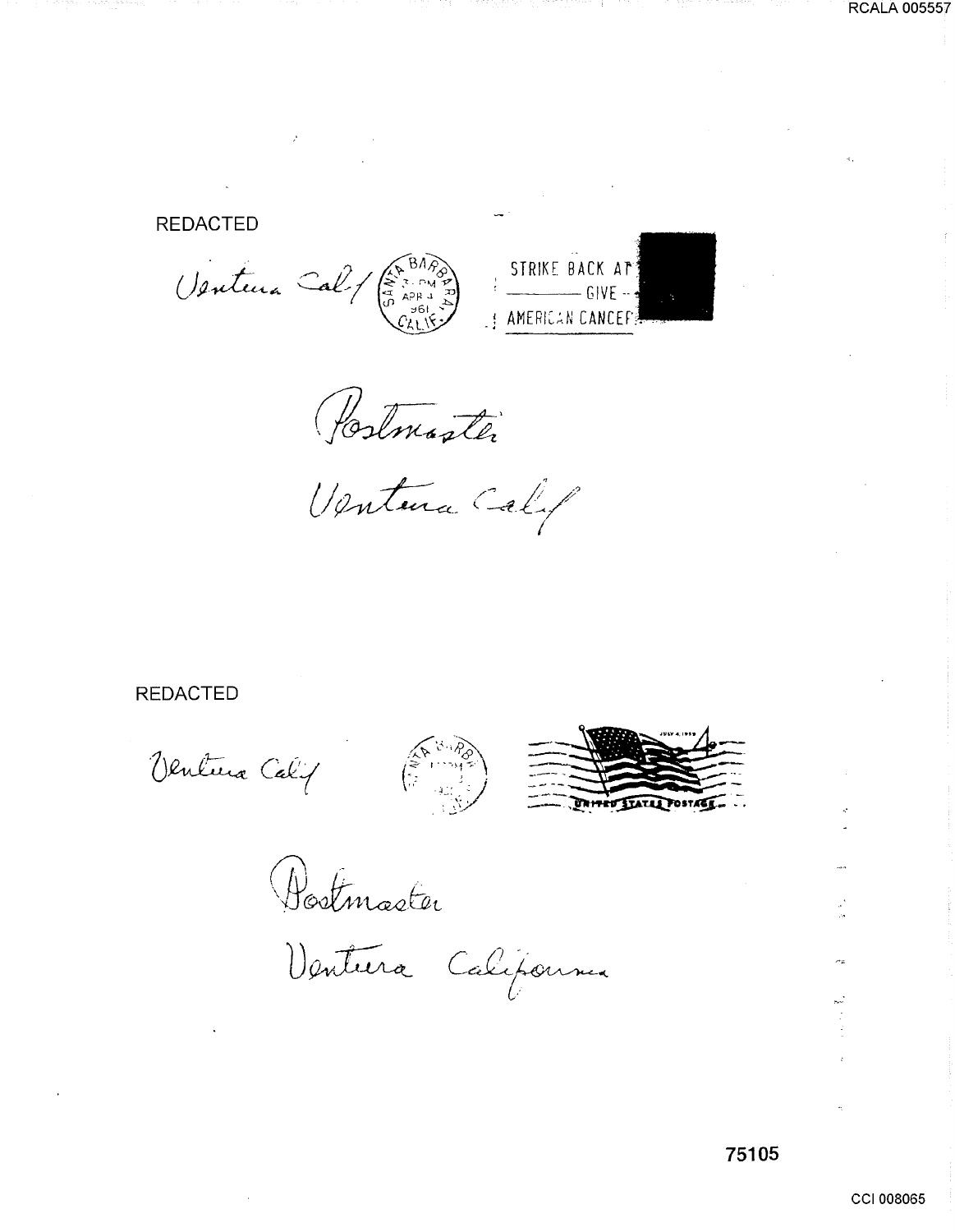## **REDACTED**

Ventura Cal / (A BARB)



Postmaster

Ventura Calif

## **REDACTED**

Ventura Calif





Bostmaster

Ventura California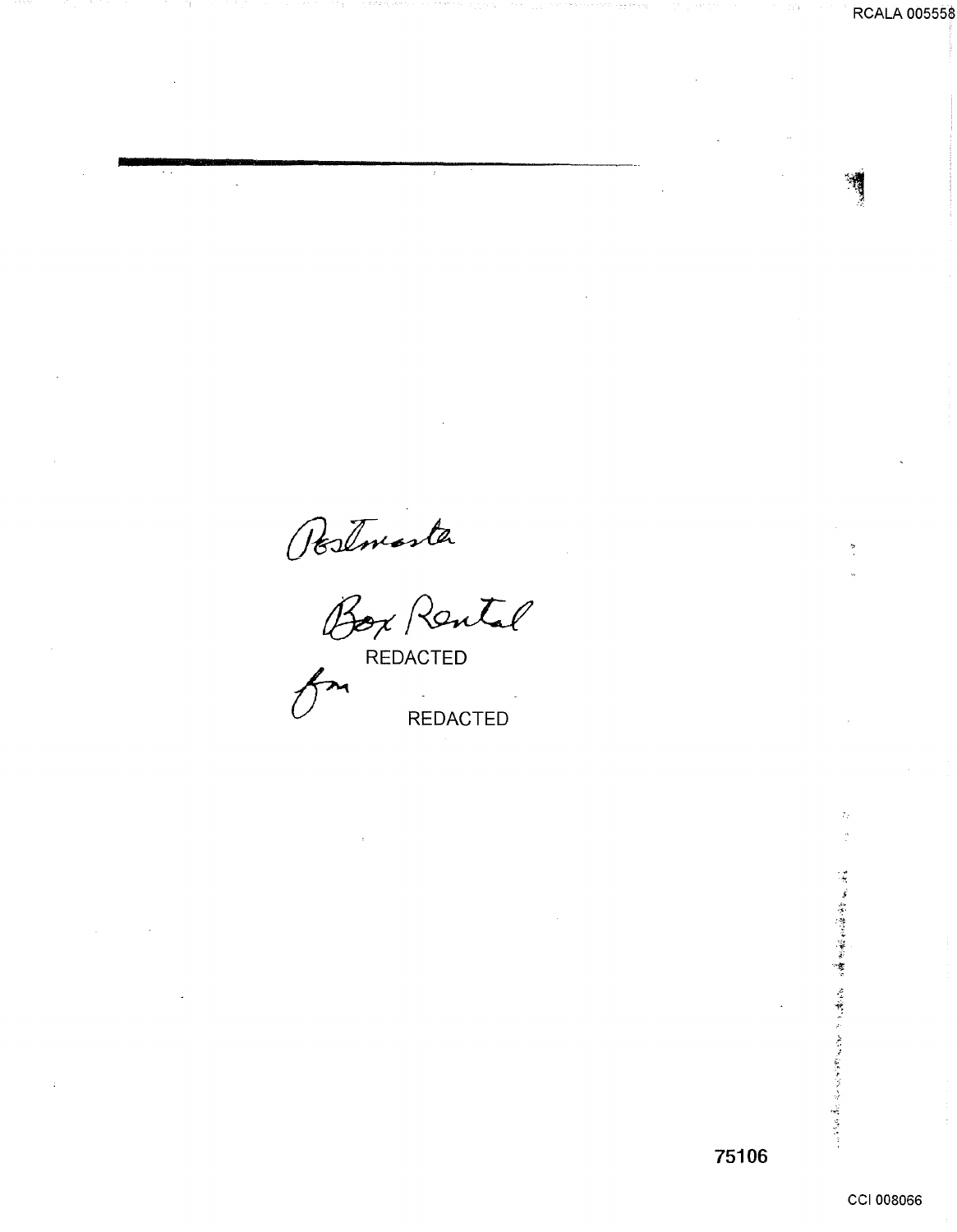Postmaster<br>Box Rental **REDACTED** 

CCI 008066

 $\mathcal{L}_{\mathcal{F}}$ 

【唐·清·李德·李·霍·罗·霍·罗·霍·罗·罗·霍·卡尔 医前进副医前置置 医内皮下的

**RCALA 005558**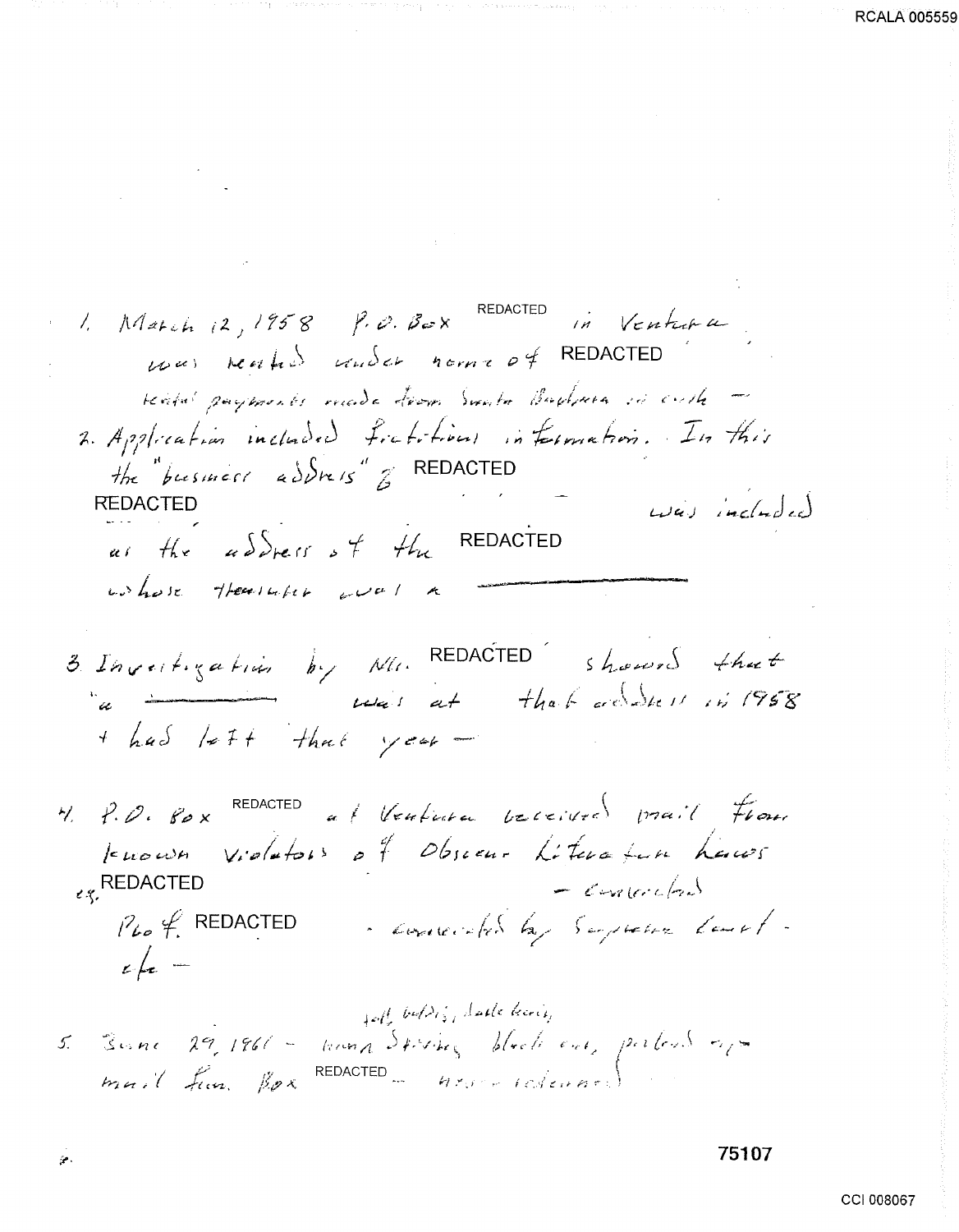1. March 12, 1958 P.O. Box REDACTED in Ventura was reached and a norma of REDACTED reard payments made from Smale Bachnes in cutte -2. Application included fratitions information. In this the pusiness address  $\beta$  REDACTED was included **REDACTED** as the address of the REDACTED wohose thereships wal 3. Invertigation by Min REDACTED showed that a immediate that subset in 1958 + had left that year - $\forall$ ,  $\forall$ ,  $\varnothing$ ,  $\varnothing$   $\times$  REDACTED at Ventura beceived prail From tenous violators of Obsecur Literature hauss  $\epsilon$ <sub> $\zeta$ </sub>, REDACTED  $=$  contented - concerted by Suppose last $i^2$   $\ell$ , REDACTED  $\epsilon$  for  $$ foll bulding darke being

**RCALA 00555** 

Ģ.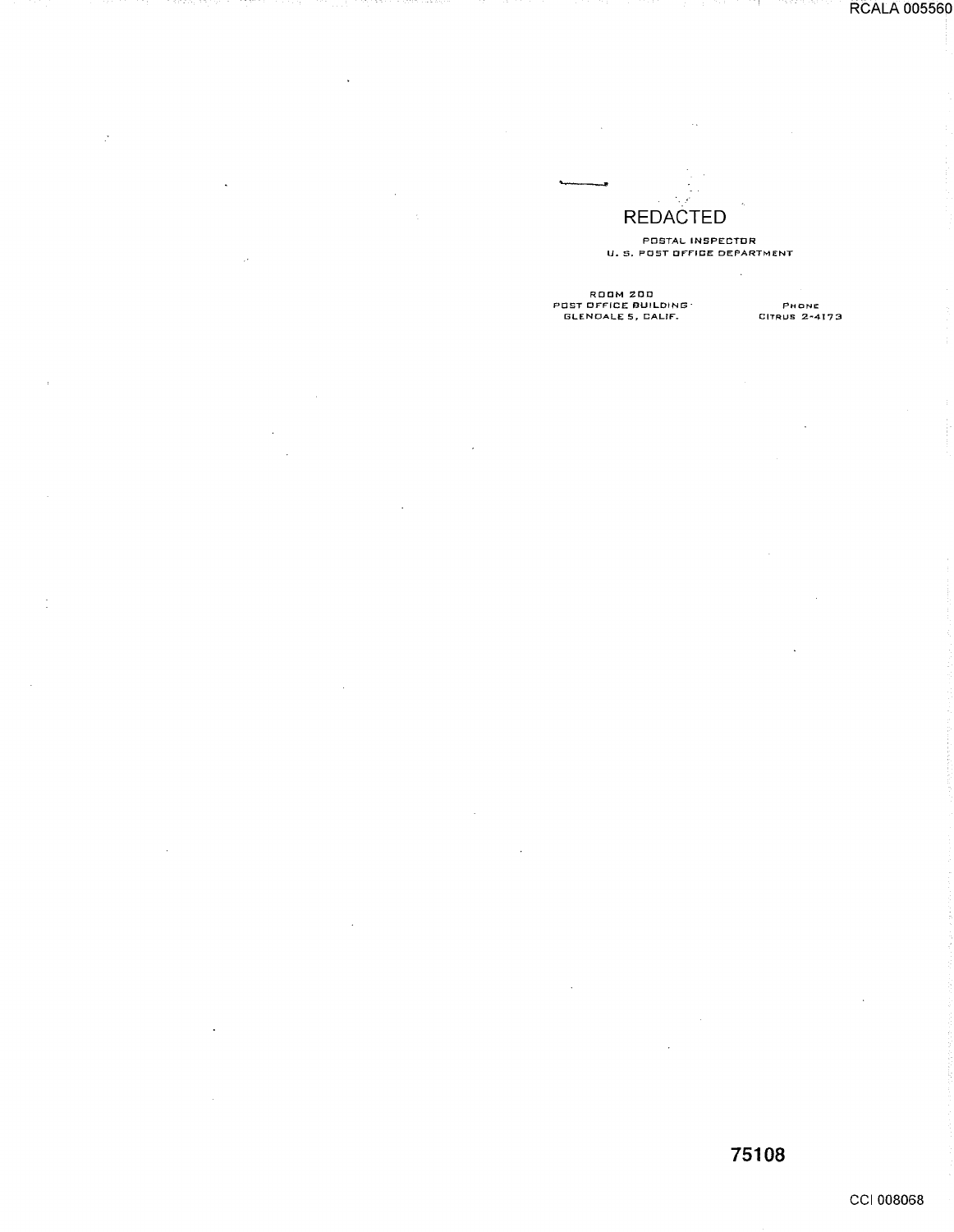RCALA 005560

### · .... REDACTED

POSTAL INSPECTOR U.S. POST OFFICE DEPARTMENT

 $\ddot{\phantom{a}}$ 

 $\bar{\mathcal{A}}$ 

ROOM 200<br>POST OFFICE BUILDING<br>GLENDALE 5, CALIF.

 $\mathcal{L}_{\mathcal{A}}$ 

 $\frac{1}{2}$ 

 $\sim$ 

÷

PHONE<br>Citrus 2-4173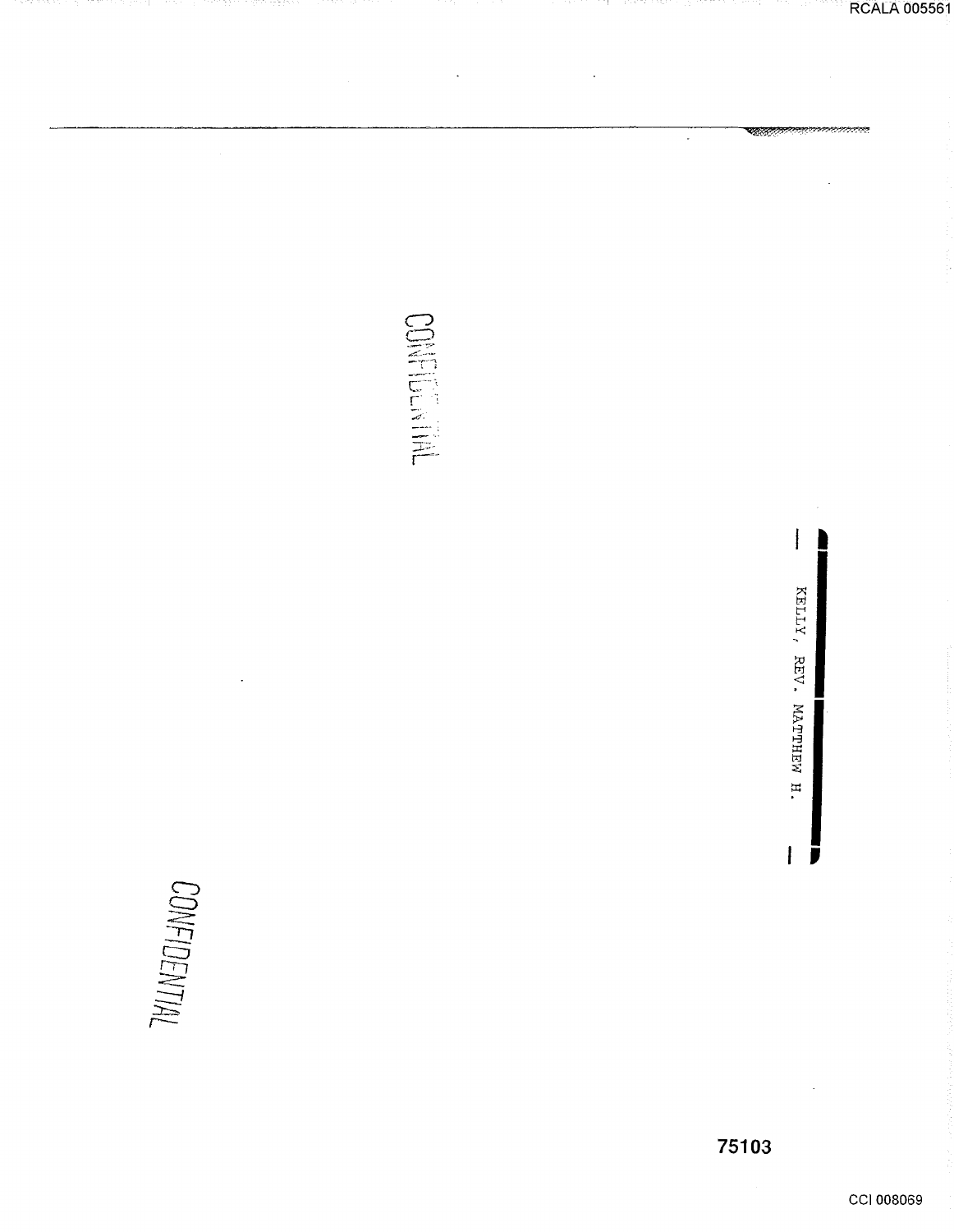